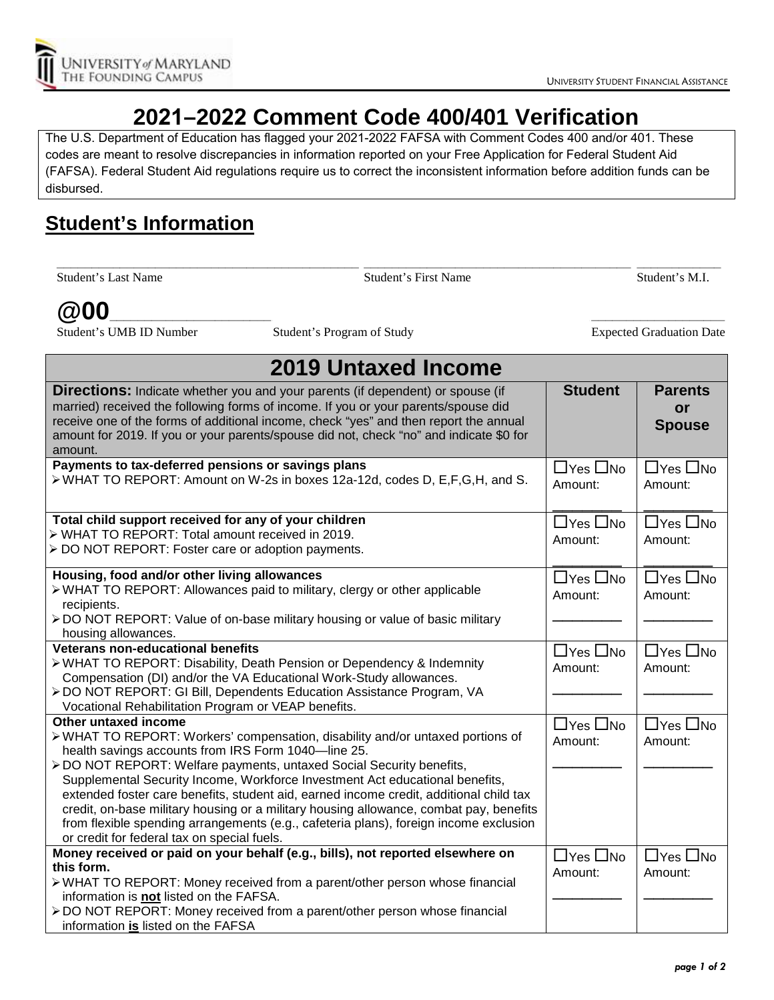

## **2021–2022 Comment Code 400/401 Verification**

The U.S. Department of Education has flagged your 2021-2022 FAFSA with Comment Codes 400 and/or 401. These codes are meant to resolve discrepancies in information reported on your Free Application for Federal Student Aid (FAFSA). Federal Student Aid regulations require us to correct the inconsistent information before addition funds can be disbursed.

## **Student's Information**

**\_\_\_\_\_\_\_\_\_\_\_\_\_\_\_\_\_\_\_\_\_\_\_\_\_\_\_\_\_\_\_\_\_\_\_\_\_\_\_\_\_\_\_ \_\_\_\_\_\_\_\_\_\_\_\_\_\_\_\_\_\_\_\_\_\_\_\_\_\_\_\_\_\_\_\_\_\_\_\_\_\_ \_\_\_\_\_\_\_\_\_\_\_\_** Student's Last Name Student's First Name Student's M.I.

## **@00\_\_\_\_\_\_\_\_\_\_\_\_\_\_\_\_\_\_\_\_\_\_\_ \_\_\_\_\_\_\_\_\_\_\_\_\_\_\_\_\_\_\_\_\_\_\_\_\_\_\_\_\_\_\_\_\_\_\_\_\_\_\_\_\_\_\_\_\_ \_\_\_\_\_\_\_\_\_\_\_\_\_\_\_\_\_\_\_**

Student's UMB ID Number Student's Program of Study Expected Graduation Date

| <b>2019 Untaxed Income</b>                                                                                                                                                                                                                                                                                                                                                                                                                                                                                                                                                                                                                        |                                 |                                       |  |
|---------------------------------------------------------------------------------------------------------------------------------------------------------------------------------------------------------------------------------------------------------------------------------------------------------------------------------------------------------------------------------------------------------------------------------------------------------------------------------------------------------------------------------------------------------------------------------------------------------------------------------------------------|---------------------------------|---------------------------------------|--|
| <b>Directions:</b> Indicate whether you and your parents (if dependent) or spouse (if<br>married) received the following forms of income. If you or your parents/spouse did<br>receive one of the forms of additional income, check "yes" and then report the annual<br>amount for 2019. If you or your parents/spouse did not, check "no" and indicate \$0 for<br>amount.                                                                                                                                                                                                                                                                        | <b>Student</b>                  | <b>Parents</b><br>or<br><b>Spouse</b> |  |
| Payments to tax-deferred pensions or savings plans<br>> WHAT TO REPORT: Amount on W-2s in boxes 12a-12d, codes D, E,F,G,H, and S.                                                                                                                                                                                                                                                                                                                                                                                                                                                                                                                 | $\Box$ Yes $\Box$ No<br>Amount: | $\Box$ Yes $\Box$ No<br>Amount:       |  |
| Total child support received for any of your children<br>> WHAT TO REPORT: Total amount received in 2019.<br>> DO NOT REPORT: Foster care or adoption payments.                                                                                                                                                                                                                                                                                                                                                                                                                                                                                   | $\Box$ Yes $\Box$ No<br>Amount: | $\Box$ Yes $\Box$ No<br>Amount:       |  |
| Housing, food and/or other living allowances<br>> WHAT TO REPORT: Allowances paid to military, clergy or other applicable<br>recipients.<br>> DO NOT REPORT: Value of on-base military housing or value of basic military<br>housing allowances.                                                                                                                                                                                                                                                                                                                                                                                                  | $\Box$ Yes $\Box$ No<br>Amount: | $\Box$ Yes $\Box$ No<br>Amount:       |  |
| <b>Veterans non-educational benefits</b><br>> WHAT TO REPORT: Disability, Death Pension or Dependency & Indemnity<br>Compensation (DI) and/or the VA Educational Work-Study allowances.<br>> DO NOT REPORT: GI Bill, Dependents Education Assistance Program, VA<br>Vocational Rehabilitation Program or VEAP benefits.                                                                                                                                                                                                                                                                                                                           | $\Box$ Yes $\Box$ No<br>Amount: | $\Box$ Yes $\Box$ No<br>Amount:       |  |
| Other untaxed income<br>> WHAT TO REPORT: Workers' compensation, disability and/or untaxed portions of<br>health savings accounts from IRS Form 1040-line 25.<br>> DO NOT REPORT: Welfare payments, untaxed Social Security benefits,<br>Supplemental Security Income, Workforce Investment Act educational benefits,<br>extended foster care benefits, student aid, earned income credit, additional child tax<br>credit, on-base military housing or a military housing allowance, combat pay, benefits<br>from flexible spending arrangements (e.g., cafeteria plans), foreign income exclusion<br>or credit for federal tax on special fuels. | $\Box$ Yes $\Box$ No<br>Amount: | $\Box$ Yes $\Box$ No<br>Amount:       |  |
| Money received or paid on your behalf (e.g., bills), not reported elsewhere on<br>this form.<br>> WHAT TO REPORT: Money received from a parent/other person whose financial<br>information is not listed on the FAFSA.<br>> DO NOT REPORT: Money received from a parent/other person whose financial<br>information is listed on the FAFSA                                                                                                                                                                                                                                                                                                        | $\Box$ Yes $\Box$ No<br>Amount: | $\Box$ Yes $\Box$ No<br>Amount:       |  |